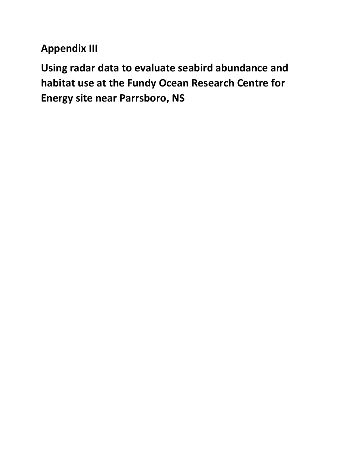**Appendix III**

**Using radar data to evaluate seabird abundance and habitat use at the Fundy Ocean Research Centre for Energy site near Parrsboro, NS**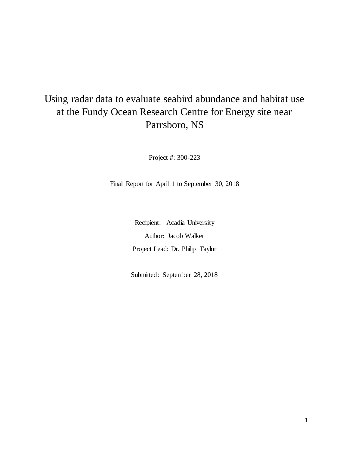# Using radar data to evaluate seabird abundance and habitat use at the Fundy Ocean Research Centre for Energy site near Parrsboro, NS

Project #: 300-223

Final Report for April 1 to September 30, 2018

Recipient: Acadia University Author: Jacob Walker Project Lead: Dr. Philip Taylor

Submitted: September 28, 2018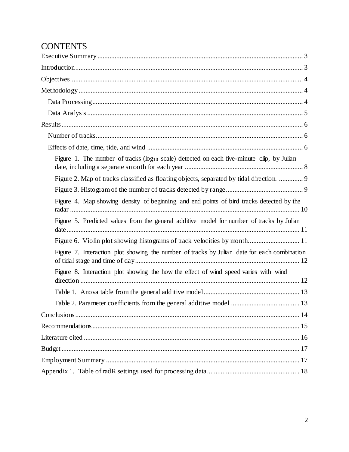# **CONTENTS**

| Figure 1. The number of tracks ( $log_{10}$ scale) detected on each five-minute clip, by Julian |
|-------------------------------------------------------------------------------------------------|
| Figure 2. Map of tracks classified as floating objects, separated by tidal direction.  9        |
|                                                                                                 |
| Figure 4. Map showing density of beginning and end points of bird tracks detected by the        |
| Figure 5. Predicted values from the general additive model for number of tracks by Julian       |
|                                                                                                 |
| Figure 7. Interaction plot showing the number of tracks by Julian date for each combination     |
| Figure 8. Interaction plot showing the how the effect of wind speed varies with wind            |
|                                                                                                 |
|                                                                                                 |
|                                                                                                 |
|                                                                                                 |
|                                                                                                 |
|                                                                                                 |
|                                                                                                 |
|                                                                                                 |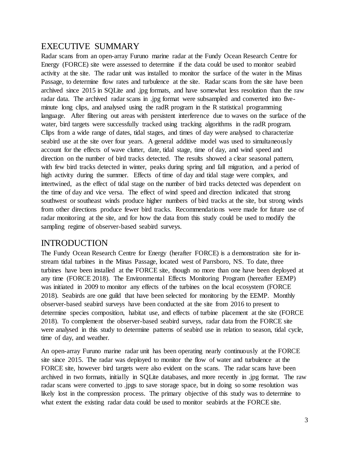# <span id="page-3-0"></span>EXECUTIVE SUMMARY

Radar scans from an open-array Furuno marine radar at the Fundy Ocean Research Centre for Energy (FORCE) site were assessed to determine if the data could be used to monitor seabird activity at the site. The radar unit was installed to monitor the surface of the water in the Minas Passage, to determine flow rates and turbulence at the site. Radar scans from the site have been archived since 2015 in SQLite and .jpg formats, and have somewhat less resolution than the raw radar data. The archived radar scans in .jpg format were subsampled and converted into fiveminute long clips, and analysed using the radR program in the R statistical programming language. After filtering out areas with persistent interference due to waves on the surface of the water, bird targets were successfully tracked using tracking algorithms in the radR program. Clips from a wide range of dates, tidal stages, and times of day were analysed to characterize seabird use at the site over four years. A general additive model was used to simultaneously account for the effects of wave clutter, date, tidal stage, time of day, and wind speed and direction on the number of bird tracks detected. The results showed a clear seasonal pattern, with few bird tracks detected in winter, peaks during spring and fall migration, and a period of high activity during the summer. Effects of time of day and tidal stage were complex, and intertwined, as the effect of tidal stage on the number of bird tracks detected was dependent on the time of day and vice versa. The effect of wind speed and direction indicated that strong southwest or southeast winds produce higher numbers of bird tracks at the site, but strong winds from other directions produce fewer bird tracks. Recommendations were made for future use of radar monitoring at the site, and for how the data from this study could be used to modify the sampling regime of observer-based seabird surveys.

# <span id="page-3-1"></span>INTRODUCTION

The Fundy Ocean Research Centre for Energy (herafter FORCE) is a demonstration site for instream tidal turbines in the Minas Passage, located west of Parrsboro, NS. To date, three turbines have been installed at the FORCE site, though no more than one have been deployed at any time (FORCE 2018). The Environmental Effects Monitoring Program (hereafter EEMP) was initiated in 2009 to monitor any effects of the turbines on the local ecosystem (FORCE 2018). Seabirds are one guild that have been selected for monitoring by the EEMP. Monthly observer-based seabird surveys have been conducted at the site from 2016 to present to determine species composition, habitat use, and effects of turbine placement at the site (FORCE 2018). To complement the observer-based seabird surveys, radar data from the FORCE site were analysed in this study to determine patterns of seabird use in relation to season, tidal cycle, time of day, and weather.

An open-array Furuno marine radar unit has been operating nearly continuously at the FORCE site since 2015. The radar was deployed to monitor the flow of water and turbulence at the FORCE site, however bird targets were also evident on the scans. The radar scans have been archived in two formats, initially in SQLite databases, and more recently in .jpg format. The raw radar scans were converted to .jpgs to save storage space, but in doing so some resolution was likely lost in the compression process. The primary objective of this study was to determine to what extent the existing radar data could be used to monitor seabirds at the FORCE site.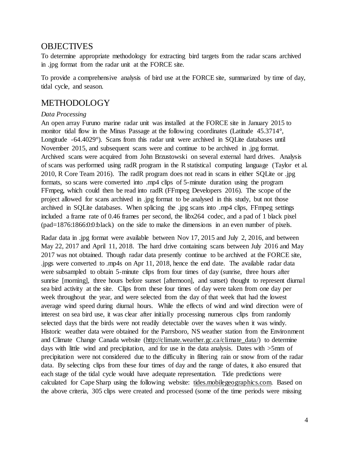## <span id="page-4-0"></span>**OBJECTIVES**

To determine appropriate methodology for extracting bird targets from the radar scans archived in .jpg format from the radar unit at the FORCE site.

To provide a comprehensive analysis of bird use at the FORCE site, summarized by time of day, tidal cycle, and season.

## <span id="page-4-1"></span>METHODOLOGY

### <span id="page-4-2"></span>*Data Processing*

An open array Furuno marine radar unit was installed at the FORCE site in January 2015 to monitor tidal flow in the Minas Passage at the following coordinates (Latitude 45.3714°, Longitude -64.4029°). Scans from this radar unit were archived in SQLite databases until November 2015, and subsequent scans were and continue to be archived in .jpg format. Archived scans were acquired from John Brzustowski on several external hard drives. Analysis of scans was performed using radR program in the R statistical computing language (Taylor et al. 2010, R Core Team 2016). The radR program does not read in scans in either SQLite or .jpg formats, so scans were converted into .mp4 clips of 5-minute duration using the program FFmpeg, which could then be read into radR (FFmpeg Developers 2016). The scope of the project allowed for scans archived in .jpg format to be analysed in this study, but not those archived in SQLite databases. When splicing the .jpg scans into .mp4 clips, FFmpeg settings included a frame rate of 0.46 frames per second, the libx264 codec, and a pad of 1 black pixel (pad=1876:1866:0:0:black) on the side to make the dimensions in an even number of pixels.

Radar data in .jpg format were available between Nov 17, 2015 and July 2, 2016, and between May 22, 2017 and April 11, 2018. The hard drive containing scans between July 2016 and May 2017 was not obtained. Though radar data presently continue to be archived at the FORCE site, .jpgs were converted to .mp4s on Apr 11, 2018, hence the end date. The available radar data were subsampled to obtain 5-minute clips from four times of day (sunrise, three hours after sunrise [morning], three hours before sunset [afternoon], and sunset) thought to represent diurnal sea bird activity at the site. Clips from these four times of day were taken from one day per week throughout the year, and were selected from the day of that week that had the lowest average wind speed during diurnal hours. While the effects of wind and wind direction were of interest on sea bird use, it was clear after initially processing numerous clips from randomly selected days that the birds were not readily detectable over the waves when it was windy. Historic weather data were obtained for the Parrsboro, NS weather station from the Environment and Climate Change Canada website (http://climate.weather.gc.ca/climate\_data/) to determine days with little wind and precipitation, and for use in the data analysis. Dates with >5mm of precipitation were not considered due to the difficulty in filtering rain or snow from of the radar data. By selecting clips from these four times of day and the range of dates, it also ensured that each stage of the tidal cycle would have adequate representation. Tide predictions were calculated for Cape Sharp using the following website: tides.mobilegeographics.com. Based on the above criteria, 305 clips were created and processed (some of the time periods were missing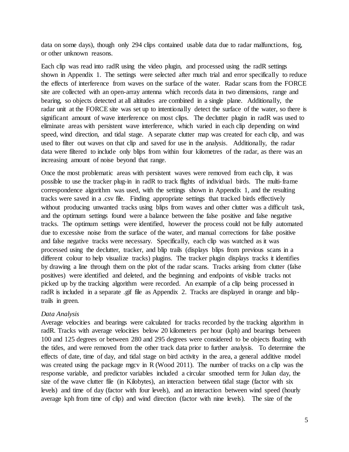data on some days), though only 294 clips contained usable data due to radar malfunctions, fog, or other unknown reasons.

Each clip was read into radR using the video plugin, and processed using the radR settings shown in Appendix 1. The settings were selected after much trial and error specifically to reduce the effects of interference from waves on the surface of the water. Radar scans from the FORCE site are collected with an open-array antenna which records data in two dimensions, range and bearing, so objects detected at all altitudes are combined in a single plane. Additionally, the radar unit at the FORCE site was set up to intentionally detect the surface of the water, so there is significant amount of wave interference on most clips. The declutter plugin in radR was used to eliminate areas with persistent wave interference, which varied in each clip depending on wind speed, wind direction, and tidal stage. A separate clutter map was created for each clip, and was used to filter out waves on that clip and saved for use in the analysis. Additionally, the radar data were filtered to include only blips from within four kilometres of the radar, as there was an increasing amount of noise beyond that range.

Once the most problematic areas with persistent waves were removed from each clip, it was possible to use the tracker plug-in in radR to track flights of individual birds. The multi-frame correspondence algorithm was used, with the settings shown in Appendix 1, and the resulting tracks were saved in a .csv file. Finding appropriate settings that tracked birds effectively without producing unwanted tracks using blips from waves and other clutter was a difficult task, and the optimum settings found were a balance between the false positive and false negative tracks. The optimum settings were identified, however the process could not be fully automated due to excessive noise from the surface of the water, and manual corrections for false positive and false negative tracks were necessary. Specifically, each clip was watched as it was processed using the declutter, tracker, and blip trails (displays blips from previous scans in a different colour to help visualize tracks) plugins. The tracker plugin displays tracks it identifies by drawing a line through them on the plot of the radar scans. Tracks arising from clutter (false positives) were identified and deleted, and the beginning and endpoints of visible tracks not picked up by the tracking algorithm were recorded. An example of a clip being processed in radR is included in a separate .gif file as Appendix 2. Tracks are displayed in orange and bliptrails in green.

#### <span id="page-5-0"></span>*Data Analysis*

Average velocities and bearings were calculated for tracks recorded by the tracking algorithm in radR. Tracks with average velocities below 20 kilometers per hour (kph) and bearings between 100 and 125 degrees or between 280 and 295 degrees were considered to be objects floating with the tides, and were removed from the other track data prior to further analysis. To determine the effects of date, time of day, and tidal stage on bird activity in the area, a general additive model was created using the package mgcv in R (Wood 2011). The number of tracks on a clip was the response variable, and predictor variables included a circular smoothed term for Julian day, the size of the wave clutter file (in Kilobytes), an interaction between tidal stage (factor with six levels) and time of day (factor with four levels), and an interaction between wind speed (hourly average kph from time of clip) and wind direction (factor with nine levels). The size of the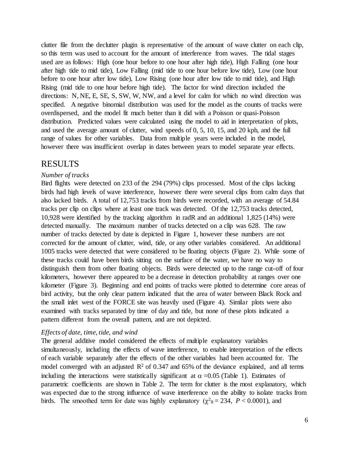clutter file from the declutter plugin is representative of the amount of wave clutter on each clip, so this term was used to account for the amount of interference from waves. The tidal stages used are as follows: High (one hour before to one hour after high tide), High Falling (one hour after high tide to mid tide), Low Falling (mid tide to one hour before low tide), Low (one hour before to one hour after low tide), Low Rising (one hour after low tide to mid tide), and High Rising (mid tide to one hour before high tide). The factor for wind direction included the directions: N, NE, E, SE, S, SW, W, NW, and a level for calm for which no wind direction was specified. A negative binomial distribution was used for the model as the counts of tracks were overdispersed, and the model fit much better than it did with a Poisson or quasi-Poisson distribution. Predicted values were calculated using the model to aid in interpretation of plots, and used the average amount of clutter, wind speeds of 0, 5, 10, 15, and 20 kph, and the full range of values for other variables. Data from multiple years were included in the model, however there was insufficient overlap in dates between years to model separate year effects.

### <span id="page-6-0"></span>RESULTS

#### <span id="page-6-1"></span>*Number of tracks*

Bird flights were detected on 233 of the 294 (79%) clips processed. Most of the clips lacking birds had high levels of wave interference, however there were several clips from calm days that also lacked birds. A total of 12,753 tracks from birds were recorded, with an average of 54.84 tracks per clip on clips where at least one track was detected. Of the 12,753 tracks detected, 10,928 were identified by the tracking algorithm in radR and an additional 1,825 (14%) were detected manually. The maximum number of tracks detected on a clip was 628. The raw number of tracks detected by date is depicted in Figure 1, however these numbers are not corrected for the amount of clutter, wind, tide, or any other variables considered. An additional 1005 tracks were detected that were considered to be floating objects (Figure 2). While some of these tracks could have been birds sitting on the surface of the water, we have no way to distinguish them from other floating objects. Birds were detected up to the range cut-off of four kilometers, however there appeared to be a decrease in detection probability at ranges over one kilometer (Figure 3). Beginning and end points of tracks were plotted to determine core areas of bird activity, but the only clear pattern indicated that the area of water between Black Rock and the small inlet west of the FORCE site was heavily used (Figure 4). Similar plots were also examined with tracks separated by time of day and tide, but none of these plots indicated a pattern different from the overall pattern, and are not depicted.

#### <span id="page-6-2"></span>*Effects of date, time, tide, and wind*

The general additive model considered the effects of multiple explanatory variables simultaneously, including the effects of wave interference, to enable interpretation of the effects of each variable separately after the effects of the other variables had been accounted for. The model converged with an adjusted  $\mathbb{R}^2$  of 0.347 and 65% of the deviance explained, and all terms including the interactions were statistically significant at  $\alpha = 0.05$  (Table 1). Estimates of parametric coefficients are shown in Table 2. The term for clutter is the most explanatory, which was expected due to the strong influence of wave interference on the ability to isolate tracks from birds. The smoothed term for date was highly explanatory  $(\chi^2)^8 = 234$ ,  $P < 0.0001$ ), and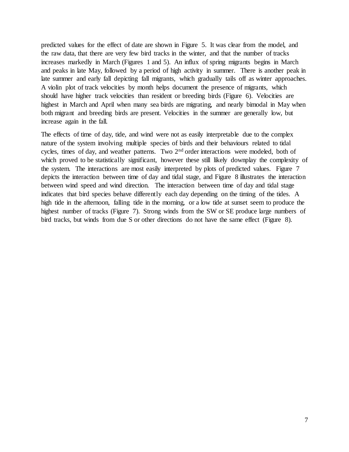predicted values for the effect of date are shown in Figure 5. It was clear from the model, and the raw data, that there are very few bird tracks in the winter, and that the number of tracks increases markedly in March (Figures 1 and 5). An influx of spring migrants begins in March and peaks in late May, followed by a period of high activity in summer. There is another peak in late summer and early fall depicting fall migrants, which gradually tails off as winter approaches. A violin plot of track velocities by month helps document the presence of migrants, which should have higher track velocities than resident or breeding birds (Figure 6). Velocities are highest in March and April when many sea birds are migrating, and nearly bimodal in May when both migrant and breeding birds are present. Velocities in the summer are generally low, but increase again in the fall.

The effects of time of day, tide, and wind were not as easily interpretable due to the complex nature of the system involving multiple species of birds and their behaviours related to tidal cycles, times of day, and weather patterns. Two 2<sup>nd</sup> order interactions were modeled, both of which proved to be statistically significant, however these still likely downplay the complexity of the system. The interactions are most easily interpreted by plots of predicted values. Figure 7 depicts the interaction between time of day and tidal stage, and Figure 8 illustrates the interaction between wind speed and wind direction. The interaction between time of day and tidal stage indicates that bird species behave differently each day depending on the timing of the tides. A high tide in the afternoon, falling tide in the morning, or a low tide at sunset seem to produce the highest number of tracks (Figure 7). Strong winds from the SW or SE produce large numbers of bird tracks, but winds from due S or other directions do not have the same effect (Figure 8).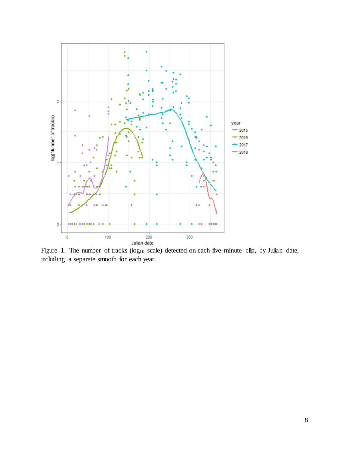

<span id="page-8-0"></span>Figure 1. The number of tracks (log<sub>10</sub> scale) detected on each five-minute clip, by Julian date, including a separate smooth for each year.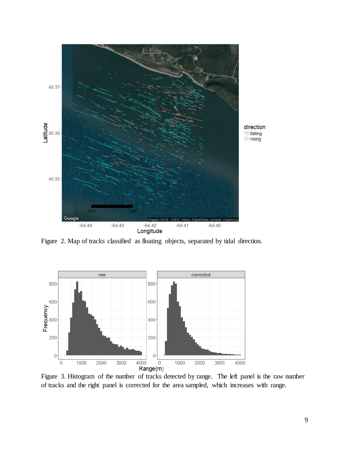

<span id="page-9-0"></span>Figure 2. Map of tracks classified as floating objects, separated by tidal direction.



<span id="page-9-1"></span>Figure 3. Histogram of the number of tracks detected by range. The left panel is the raw number of tracks and the right panel is corrected for the area sampled, which increases with range.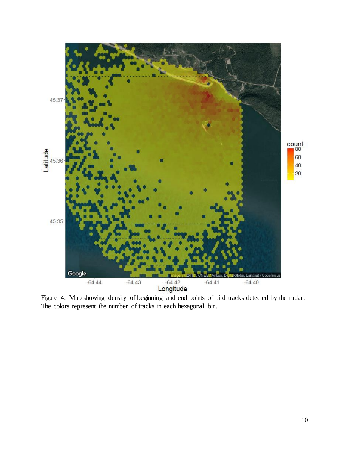

<span id="page-10-0"></span>Figure 4. Map showing density of beginning and end points of bird tracks detected by the radar. The colors represent the number of tracks in each hexagonal bin.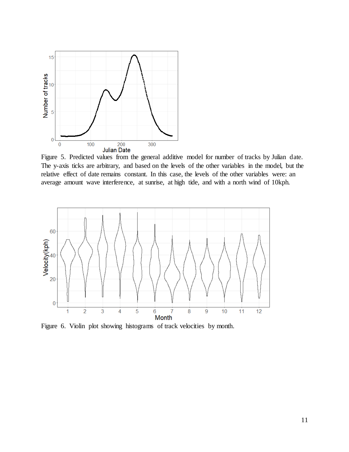

<span id="page-11-0"></span>Figure 5. Predicted values from the general additive model for number of tracks by Julian date. The y-axis ticks are arbitrary, and based on the levels of the other variables in the model, but the relative effect of date remains constant. In this case, the levels of the other variables were: an average amount wave interference, at sunrise, at high tide, and with a north wind of 10kph.



<span id="page-11-1"></span>Figure 6. Violin plot showing histograms of track velocities by month.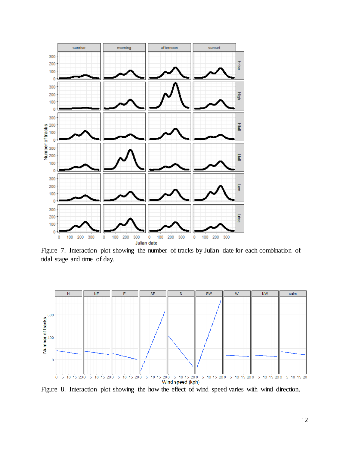

<span id="page-12-0"></span>Figure 7. Interaction plot showing the number of tracks by Julian date for each combination of tidal stage and time of day.



<span id="page-12-1"></span>Figure 8. Interaction plot showing the how the effect of wind speed varies with wind direction.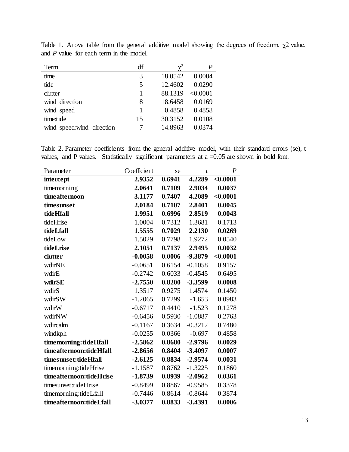| Term                      | df | $\chi^2$ |          |
|---------------------------|----|----------|----------|
| time                      | 3  | 18.0542  | 0.0004   |
| tide                      | 5  | 12.4602  | 0.0290   |
| clutter                   | 1  | 88.1319  | < 0.0001 |
| wind direction            | 8  | 18.6458  | 0.0169   |
| wind speed                | 1  | 0.4858   | 0.4858   |
| time:tide                 | 15 | 30.3152  | 0.0108   |
| wind speed:wind direction |    | 14.8963  | 0.0374   |

<span id="page-13-0"></span>Table 1. Anova table from the general additive model showing the degrees of freedom,  $\chi$ 2 value, and *P* value for each term in the model.

<span id="page-13-1"></span>Table 2. Parameter coefficients from the general additive model, with their standard errors (se), t values, and P values. Statistically significant parameters at  $a = 0.05$  are shown in bold font.

| Parameter               | Coefficient | se     | t         | $\boldsymbol{P}$ |
|-------------------------|-------------|--------|-----------|------------------|
| intercept               | 2.9352      | 0.6941 | 4.2289    | < 0.0001         |
| timemorning             | 2.0641      | 0.7109 | 2.9034    | 0.0037           |
| timeafternoon           | 3.1177      | 0.7407 | 4.2089    | < 0.0001         |
| timesunset              | 2.0184      | 0.7107 | 2.8401    | 0.0045           |
| <b>tide Hfall</b>       | 1.9951      | 0.6996 | 2.8519    | 0.0043           |
| tideHrise               | 1.0004      | 0.7312 | 1.3681    | 0.1713           |
| <b>tide</b> Lfall       | 1.5555      | 0.7029 | 2.2130    | 0.0269           |
| tideLow                 | 1.5029      | 0.7798 | 1.9272    | 0.0540           |
| tideLrise               | 2.1051      | 0.7137 | 2.9495    | 0.0032           |
| clutter                 | $-0.0058$   | 0.0006 | -9.3879   | < 0.0001         |
| wdirNE                  | $-0.0651$   | 0.6154 | $-0.1058$ | 0.9157           |
| wdirE                   | $-0.2742$   | 0.6033 | $-0.4545$ | 0.6495           |
| wdirSE                  | $-2.7550$   | 0.8200 | -3.3599   | 0.0008           |
| wdirS                   | 1.3517      | 0.9275 | 1.4574    | 0.1450           |
| wdirSW                  | $-1.2065$   | 0.7299 | $-1.653$  | 0.0983           |
| wdirW                   | $-0.6717$   | 0.4410 | $-1.523$  | 0.1278           |
| wdirNW                  | $-0.6456$   | 0.5930 | $-1.0887$ | 0.2763           |
| wdircalm                | $-0.1167$   | 0.3634 | $-0.3212$ | 0.7480           |
| windkph                 | $-0.0255$   | 0.0366 | $-0.697$  | 0.4858           |
| timemorning: tide Hfall | $-2.5862$   | 0.8680 | $-2.9796$ | 0.0029           |
| timeafternoon:tideHfall | $-2.8656$   | 0.8404 | $-3.4097$ | 0.0007           |
| timesunset:tideHfall    | $-2.6125$   | 0.8834 | $-2.9574$ | 0.0031           |
| timemorning:tideHrise   | $-1.1587$   | 0.8762 | $-1.3225$ | 0.1860           |
| timeafternoon:tideHrise | $-1.8739$   | 0.8939 | $-2.0962$ | 0.0361           |
| timesunset:tideHrise    | $-0.8499$   | 0.8867 | $-0.9585$ | 0.3378           |
| timemorning:tideLfall   | $-0.7446$   | 0.8614 | $-0.8644$ | 0.3874           |
| timeafternoon:tideLfall | $-3.0377$   | 0.8833 | $-3.4391$ | 0.0006           |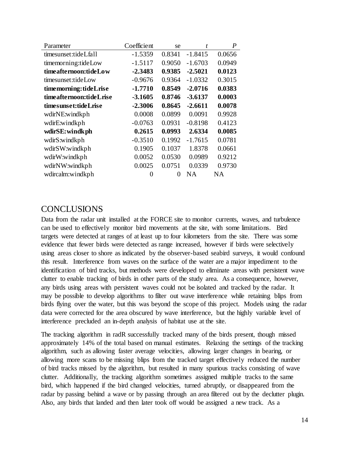| Parameter               | Coefficient | se     | t         | $\boldsymbol{P}$ |
|-------------------------|-------------|--------|-----------|------------------|
| timesunset:tideLfall    | $-1.5359$   | 0.8341 | $-1.8415$ | 0.0656           |
| timemorning:tideLow     | $-1.5117$   | 0.9050 | $-1.6703$ | 0.0949           |
| timeafternoon:tideLow   | $-2.3483$   | 0.9385 | $-2.5021$ | 0.0123           |
| timesunset:tideLow      | $-0.9676$   | 0.9364 | $-1.0332$ | 0.3015           |
| timemorning:tideLrise   | $-1.7710$   | 0.8549 | $-2.0716$ | 0.0383           |
| timeafternoon:tideLrise | $-3.1605$   | 0.8746 | $-3.6137$ | 0.0003           |
| timesunset:tideLrise    | $-2.3006$   | 0.8645 | $-2.6611$ | 0.0078           |
| wdirNE:windkph          | 0.0008      | 0.0899 | 0.0091    | 0.9928           |
| wdirE:windkph           | $-0.0763$   | 0.0931 | $-0.8198$ | 0.4123           |
| wdirSE: windk ph        | 0.2615      | 0.0993 | 2.6334    | 0.0085           |
| wdirS:windkph           | $-0.3510$   | 0.1992 | $-1.7615$ | 0.0781           |
| wdirSW:windkph          | 0.1905      | 0.1037 | 1.8378    | 0.0661           |
| wdirW:windkph           | 0.0052      | 0.0530 | 0.0989    | 0.9212           |
| wdirNW:windkph          | 0.0025      | 0.0751 | 0.0339    | 0.9730           |
| wdircalm:windkph        | 0           | 0      | <b>NA</b> | NA               |

## <span id="page-14-0"></span>**CONCLUSIONS**

Data from the radar unit installed at the FORCE site to monitor currents, waves, and turbulence can be used to effectively monitor bird movements at the site, with some limitations. Bird targets were detected at ranges of at least up to four kilometers from the site. There was some evidence that fewer birds were detected as range increased, however if birds were selectively using areas closer to shore as indicated by the observer-based seabird surveys, it would confound this result. Interference from waves on the surface of the water are a major impediment to the identification of bird tracks, but methods were developed to eliminate areas with persistent wave clutter to enable tracking of birds in other parts of the study area. As a consequence, however, any birds using areas with persistent waves could not be isolated and tracked by the radar. It may be possible to develop algorithms to filter out wave interference while retaining blips from birds flying over the water, but this was beyond the scope of this project. Models using the radar data were corrected for the area obscured by wave interference, but the highly variable level of interference precluded an in-depth analysis of habitat use at the site.

The tracking algorithm in radR successfully tracked many of the birds present, though missed approximately 14% of the total based on manual estimates. Relaxing the settings of the tracking algorithm, such as allowing faster average velocities, allowing larger changes in bearing, or allowing more scans to be missing blips from the tracked target effectively reduced the number of bird tracks missed by the algorithm, but resulted in many spurious tracks consisting of wave clutter. Additionally, the tracking algorithm sometimes assigned multiple tracks to the same bird, which happened if the bird changed velocities, turned abruptly, or disappeared from the radar by passing behind a wave or by passing through an area filtered out by the declutter plugin. Also, any birds that landed and then later took off would be assigned a new track. As a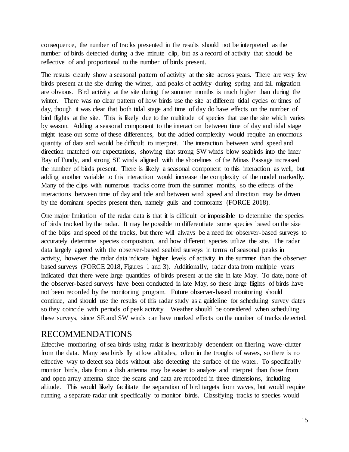consequence, the number of tracks presented in the results should not be interpreted as the number of birds detected during a five minute clip, but as a record of activity that should be reflective of and proportional to the number of birds present.

The results clearly show a seasonal pattern of activity at the site across years. There are very few birds present at the site during the winter, and peaks of activity during spring and fall migration are obvious. Bird activity at the site during the summer months is much higher than during the winter. There was no clear pattern of how birds use the site at different tidal cycles or times of day, though it was clear that both tidal stage and time of day do have effects on the number of bird flights at the site. This is likely due to the multitude of species that use the site which varies by season. Adding a seasonal component to the interaction between time of day and tidal stage might tease out some of these differences, but the added complexity would require an enormous quantity of data and would be difficult to interpret. The interaction between wind speed and direction matched our expectations, showing that strong SW winds blow seabirds into the inner Bay of Fundy, and strong SE winds aligned with the shorelines of the Minas Passage increased the number of birds present. There is likely a seasonal component to this interaction as well, but adding another variable to this interaction would increase the complexity of the model markedly. Many of the clips with numerous tracks come from the summer months, so the effects of the interactions between time of day and tide and between wind speed and direction may be driven by the dominant species present then, namely gulls and cormorants (FORCE 2018).

One major limitation of the radar data is that it is difficult or impossible to determine the species of birds tracked by the radar. It may be possible to differentiate some species based on the size of the blips and speed of the tracks, but there will always be a need for observer-based surveys to accurately determine species composition, and how different species utilize the site. The radar data largely agreed with the observer-based seabird surveys in terms of seasonal peaks in activity, however the radar data indicate higher levels of activity in the summer than the observer based surveys (FORCE 2018, Figures 1 and 3). Additionally, radar data from multiple years indicated that there were large quantities of birds present at the site in late May. To date, none of the observer-based surveys have been conducted in late May, so these large flights of birds have not been recorded by the monitoring program. Future observer-based monitoring should continue, and should use the results of this radar study as a guideline for scheduling survey dates so they coincide with periods of peak activity. Weather should be considered when scheduling these surveys, since SE and SW winds can have marked effects on the number of tracks detected.

## <span id="page-15-0"></span>RECOMMENDATIONS

Effective monitoring of sea birds using radar is inextricably dependent on filtering wave-clutter from the data. Many sea birds fly at low altitudes, often in the troughs of waves, so there is no effective way to detect sea birds without also detecting the surface of the water. To specifically monitor birds, data from a dish antenna may be easier to analyze and interpret than those from and open array antenna since the scans and data are recorded in three dimensions, including altitude. This would likely facilitate the separation of bird targets from waves, but would require running a separate radar unit specifically to monitor birds. Classifying tracks to species would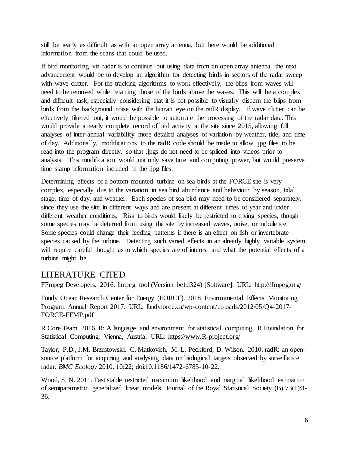still be nearly as difficult as with an open array antenna, but there would be additional information from the scans that could be used.

If bird monitoring via radar is to continue but using data from an open array antenna, the next advancement would be to develop an algorithm for detecting birds in sectors of the radar sweep with wave clutter. For the tracking algorithms to work effectively, the blips from waves will need to be removed while retaining those of the birds above the waves. This will be a complex and difficult task, especially considering that it is not possible to visually discern the blips from birds from the background noise with the human eye on the radR display. If wave clutter can be effectively filtered out, it would be possible to automate the processing of the radar data. This would provide a nearly complete record of bird activity at the site since 2015, allowing full analyses of inter-annual variability more detailed analyses of variation by weather, tide, and time of day. Additionally, modifications to the radR code should be made to allow .jpg files to be read into the program directly, so that .jpgs do not need to be spliced into videos prior to analysis. This modification would not only save time and computing power, but would preserve time stamp information included in the .jpg files.

Determining effects of a bottom-mounted turbine on sea birds at the FORCE site is very complex, especially due to the variation in sea bird abundance and behaviour by season, tidal stage, time of day, and weather. Each species of sea bird may need to be considered separately, since they use the site in different ways and are present at different times of year and under different weather conditions. Risk to birds would likely be restricted to diving species, though some species may be deterred from using the site by increased waves, noise, or turbulence. Some species could change their feeding patterns if there is an effect on fish or invertebrate species caused by the turbine. Detecting such varied effects in an already highly variable system will require careful thought as to which species are of interest and what the potential effects of a turbine might be.

# <span id="page-16-0"></span>LITERATURE CITED

FFmpeg Developers. 2016. ffmpeg tool (Version be1d324) [Software]. URL: http://ffmpeg.org/

Fundy Ocean Research Center for Energy (FORCE). 2018. Environmental Effects Monitoring Program. Annual Report 2017. URL: fundyforce.ca/wp-content/uploads/2012/05/Q4-2017- FORCE-EEMP.pdf

R Core Team. 2016. R: A language and environment for statistical computing. R Foundation for Statistical Computing, Vienna, Austria. URL: https://www.R-project.org/

Taylor, P.D., J.M. Brzustowski, C. Matkovich, M. L. Peckford, D. Wilson. 2010. radR: an opensource platform for acquiring and analysing data on biological targets observed by surveillance radar. *BMC Ecology* 2010, 10**:**22; doi:10.1186/1472-6785-10-22.

Wood, S. N. 2011. Fast stable restricted maximum likelihood and marginal likelihood estimation of semiparametric generalized linear models. Journal of the Royal Statistical Society (B) 73(1):3- 36.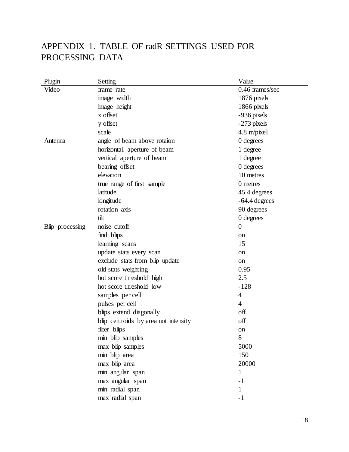# <span id="page-17-0"></span>APPENDIX 1. TABLE OF radR SETTINGS USED FOR PROCESSING DATA

| Plugin          | Setting                              | Value           |
|-----------------|--------------------------------------|-----------------|
| Video           | frame rate                           | 0.46 frames/sec |
|                 | image width                          | 1876 pixels     |
|                 | image height                         | 1866 pixels     |
|                 | x offset                             | -936 pixels     |
|                 | y offset                             | -273 pixels     |
|                 | scale                                | 4.8 m/pixel     |
| Antenna         | angle of beam above rotaion          | 0 degrees       |
|                 | horizontal aperture of beam          | 1 degree        |
|                 | vertical aperture of beam            | 1 degree        |
|                 | bearing offset                       | 0 degrees       |
|                 | elevation                            | 10 metres       |
|                 | true range of first sample           | 0 metres        |
|                 | latitude                             | 45.4 degrees    |
|                 | longitude                            | $-64.4$ degrees |
|                 | rotation axis                        | 90 degrees      |
|                 | tilt                                 | 0 degrees       |
| Blip processing | noise cutoff                         | $\overline{0}$  |
|                 | find blips                           | on              |
|                 | learning scans                       | 15              |
|                 | update stats every scan              | on              |
|                 | exclude stats from blip update       | on              |
|                 | old stats weighting                  | 0.95            |
|                 | hot score threshold high             | 2.5             |
|                 | hot score threshold low              | $-128$          |
|                 | samples per cell                     | 4               |
|                 | pulses per cell                      | 4               |
|                 | blips extend diagonally              | off             |
|                 | blip centroids by area not intensity | off             |
|                 | filter blips                         | on              |
|                 | min blip samples                     | 8               |
|                 | max blip samples                     | 5000            |
|                 | min blip area                        | 150             |
|                 | max blip area                        | 20000           |
|                 | min angular span                     | 1               |
|                 | max angular span                     | $-1$            |
|                 | min radial span                      | 1               |
|                 | max radial span                      | - 1             |